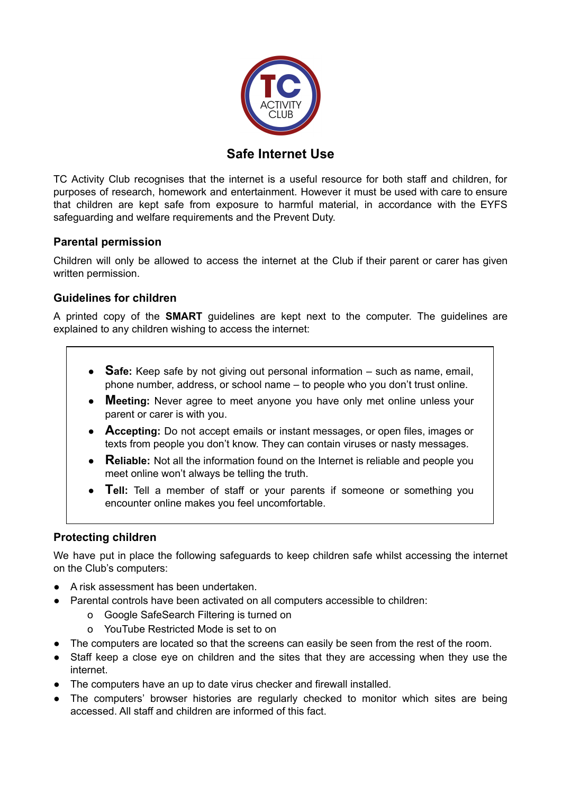

# **Safe Internet Use**

TC Activity Club recognises that the internet is a useful resource for both staff and children, for purposes of research, homework and entertainment. However it must be used with care to ensure that children are kept safe from exposure to harmful material, in accordance with the EYFS safeguarding and welfare requirements and the Prevent Duty.

## **Parental permission**

Children will only be allowed to access the internet at the Club if their parent or carer has given written permission.

## **Guidelines for children**

A printed copy of the **SMART** guidelines are kept next to the computer. The guidelines are explained to any children wishing to access the internet:

- **Safe:** Keep safe by not giving out personal information such as name, email, phone number, address, or school name – to people who you don't trust online.
- **Meeting:** Never agree to meet anyone you have only met online unless your parent or carer is with you.
- **Accepting:** Do not accept emails or instant messages, or open files, images or texts from people you don't know. They can contain viruses or nasty messages.
- **Reliable:** Not all the information found on the Internet is reliable and people you meet online won't always be telling the truth.
- **Tell:** Tell a member of staff or your parents if someone or something you encounter online makes you feel uncomfortable.

## **Protecting children**

We have put in place the following safeguards to keep children safe whilst accessing the internet on the Club's computers:

- A risk assessment has been undertaken.
- Parental controls have been activated on all computers accessible to children:
	- o Google SafeSearch Filtering is turned on
	- o YouTube Restricted Mode is set to on
- The computers are located so that the screens can easily be seen from the rest of the room.
- Staff keep a close eye on children and the sites that they are accessing when they use the internet.
- The computers have an up to date virus checker and firewall installed.
- The computers' browser histories are regularly checked to monitor which sites are being accessed. All staff and children are informed of this fact.